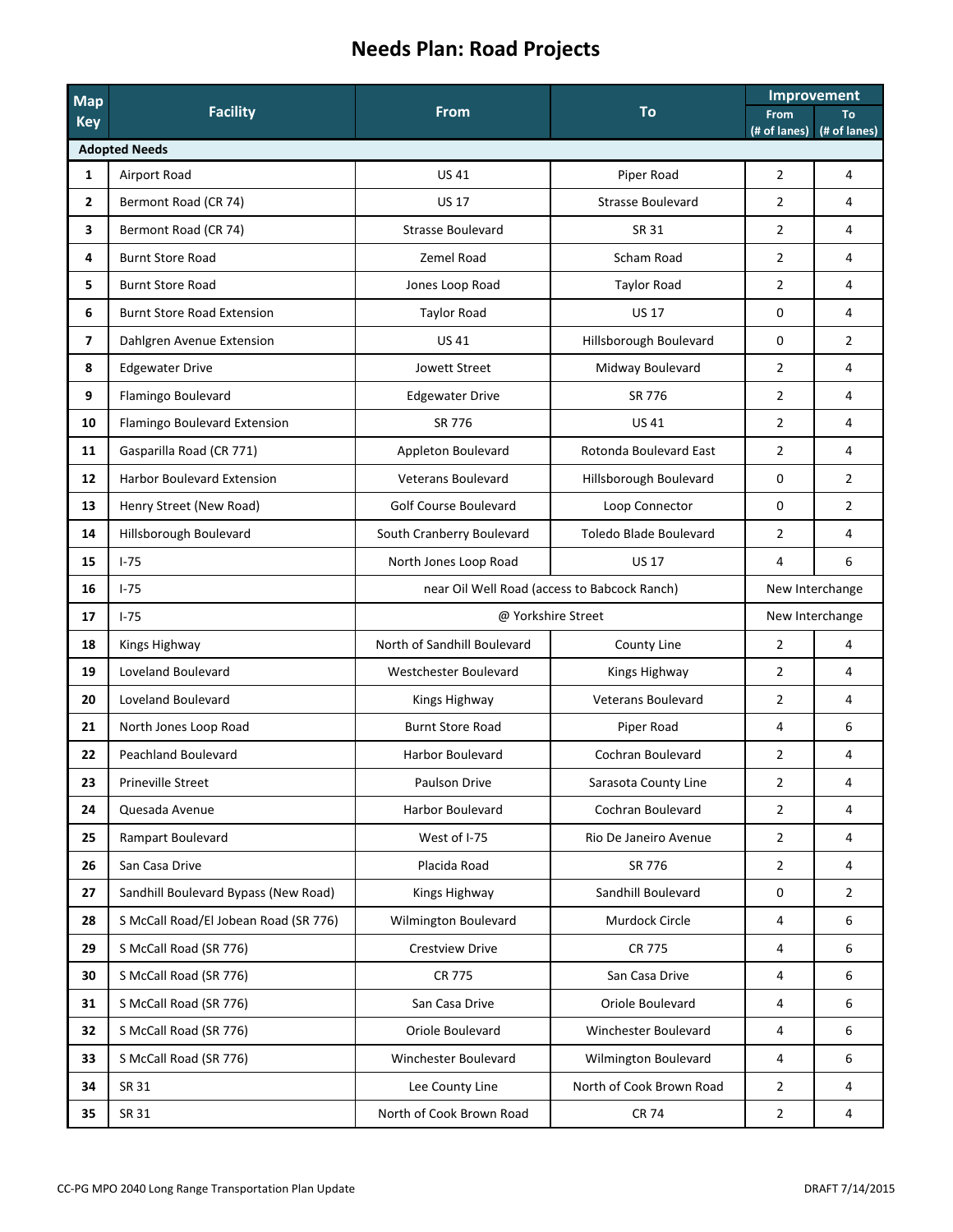## **Needs Plan: Road Projects**

| Map<br><b>Key</b>       | <b>Facility</b>                       | <b>From</b>                  | <b>To</b>                                    | Improvement                 |                           |  |  |  |  |
|-------------------------|---------------------------------------|------------------------------|----------------------------------------------|-----------------------------|---------------------------|--|--|--|--|
|                         |                                       |                              |                                              | <b>From</b><br>(# of lanes) | <b>To</b><br>(# of lanes) |  |  |  |  |
| <b>Adopted Needs</b>    |                                       |                              |                                              |                             |                           |  |  |  |  |
| $\mathbf{1}$            | Airport Road                          | <b>US41</b>                  | Piper Road                                   | $\overline{2}$              | 4                         |  |  |  |  |
| $\overline{2}$          | Bermont Road (CR 74)                  | <b>US 17</b>                 | <b>Strasse Boulevard</b>                     | $\overline{2}$              | 4                         |  |  |  |  |
| 3                       | Bermont Road (CR 74)                  | <b>Strasse Boulevard</b>     | <b>SR 31</b>                                 | $\overline{2}$              | 4                         |  |  |  |  |
| 4                       | <b>Burnt Store Road</b>               | Zemel Road                   | Scham Road                                   | $\overline{2}$              | 4                         |  |  |  |  |
| 5                       | <b>Burnt Store Road</b>               | Jones Loop Road              | <b>Taylor Road</b>                           | $\overline{2}$              | 4                         |  |  |  |  |
| 6                       | <b>Burnt Store Road Extension</b>     | <b>Taylor Road</b>           | <b>US 17</b>                                 | 0                           | 4                         |  |  |  |  |
| $\overline{\mathbf{z}}$ | Dahlgren Avenue Extension             | <b>US41</b>                  | Hillsborough Boulevard                       | 0                           | $\overline{2}$            |  |  |  |  |
| 8                       | <b>Edgewater Drive</b>                | <b>Jowett Street</b>         | Midway Boulevard                             | $\overline{2}$              | 4                         |  |  |  |  |
| 9                       | Flamingo Boulevard                    | <b>Edgewater Drive</b>       | SR 776                                       | $\overline{2}$              | 4                         |  |  |  |  |
| 10                      | Flamingo Boulevard Extension          | SR 776                       | <b>US41</b>                                  | $\overline{2}$              | 4                         |  |  |  |  |
| 11                      | Gasparilla Road (CR 771)              | Appleton Boulevard           | Rotonda Boulevard East                       | $\overline{2}$              | 4                         |  |  |  |  |
| 12                      | <b>Harbor Boulevard Extension</b>     | <b>Veterans Boulevard</b>    | Hillsborough Boulevard                       | $\mathbf 0$                 | $\overline{2}$            |  |  |  |  |
| 13                      | Henry Street (New Road)               | <b>Golf Course Boulevard</b> | Loop Connector                               | $\mathbf 0$                 | $\overline{2}$            |  |  |  |  |
| 14                      | Hillsborough Boulevard                | South Cranberry Boulevard    | Toledo Blade Boulevard                       | $\overline{2}$              | 4                         |  |  |  |  |
| 15                      | $1 - 75$                              | North Jones Loop Road        | <b>US 17</b>                                 | 4                           | 6                         |  |  |  |  |
| 16                      | $1-75$                                |                              | near Oil Well Road (access to Babcock Ranch) | New Interchange             |                           |  |  |  |  |
| 17                      | $I-75$                                |                              | @ Yorkshire Street                           | New Interchange             |                           |  |  |  |  |
| 18                      | Kings Highway                         | North of Sandhill Boulevard  | <b>County Line</b>                           | $\overline{2}$              | 4                         |  |  |  |  |
| 19                      | <b>Loveland Boulevard</b>             | Westchester Boulevard        | Kings Highway                                | $\overline{2}$              | 4                         |  |  |  |  |
| 20                      | Loveland Boulevard                    | Kings Highway                | <b>Veterans Boulevard</b>                    | $\overline{2}$              | 4                         |  |  |  |  |
| 21                      | North Jones Loop Road                 | <b>Burnt Store Road</b>      | Piper Road                                   | 4                           | 6                         |  |  |  |  |
| 22                      | <b>Peachland Boulevard</b>            | <b>Harbor Boulevard</b>      | Cochran Boulevard                            | $\overline{2}$              | 4                         |  |  |  |  |
| 23                      | Prineville Street                     | Paulson Drive                | Sarasota County Line                         | $\overline{2}$              | 4                         |  |  |  |  |
| 24                      | Quesada Avenue                        | Harbor Boulevard             | Cochran Boulevard                            | $\overline{2}$              | 4                         |  |  |  |  |
| 25                      | Rampart Boulevard                     | West of I-75                 | Rio De Janeiro Avenue                        | $\overline{2}$              | 4                         |  |  |  |  |
| 26                      | San Casa Drive                        | Placida Road                 | SR 776                                       | $\overline{2}$              | 4                         |  |  |  |  |
| 27                      | Sandhill Boulevard Bypass (New Road)  | Kings Highway                | Sandhill Boulevard                           | 0                           | $\overline{2}$            |  |  |  |  |
| 28                      | S McCall Road/El Jobean Road (SR 776) | Wilmington Boulevard         | Murdock Circle                               | 4                           | 6                         |  |  |  |  |
| 29                      | S McCall Road (SR 776)                | <b>Crestview Drive</b>       | <b>CR 775</b>                                | 4                           | 6                         |  |  |  |  |
| 30                      | S McCall Road (SR 776)                | <b>CR 775</b>                | San Casa Drive                               | 4                           | 6                         |  |  |  |  |
| 31                      | S McCall Road (SR 776)                | San Casa Drive               | Oriole Boulevard                             | 4                           | 6                         |  |  |  |  |
| 32                      | S McCall Road (SR 776)                | Oriole Boulevard             | Winchester Boulevard                         | 4                           | 6                         |  |  |  |  |
| 33                      | S McCall Road (SR 776)                | Winchester Boulevard         | <b>Wilmington Boulevard</b>                  | 4                           | 6                         |  |  |  |  |
| 34                      | <b>SR 31</b>                          | Lee County Line              | North of Cook Brown Road                     | $\overline{2}$              | 4                         |  |  |  |  |
| 35                      | <b>SR 31</b>                          | North of Cook Brown Road     | <b>CR 74</b>                                 | $\overline{2}$              | 4                         |  |  |  |  |